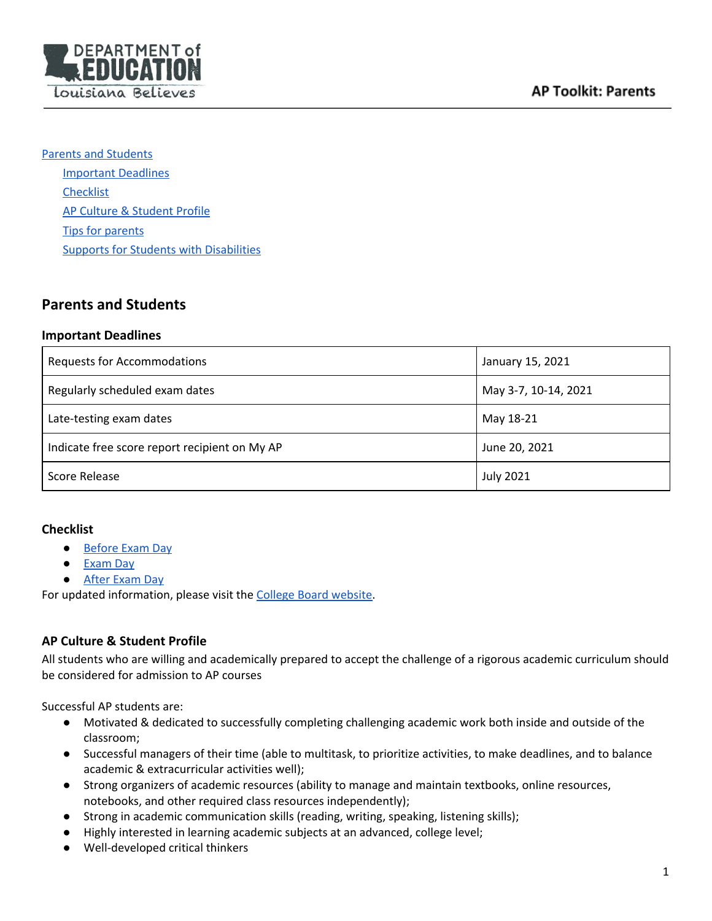

Parents and [Students](#page-0-0) [Important](#page-0-1) Deadlines **[Checklist](#page-0-2)** AP Culture & [Student](#page-0-3) Profile Tips for [parents](#page-1-0) Supports for Students with [Disabilities](#page-1-1)

# <span id="page-0-0"></span>**Parents and Students**

### <span id="page-0-1"></span>**Important Deadlines**

| <b>Requests for Accommodations</b>            | January 15, 2021     |
|-----------------------------------------------|----------------------|
| Regularly scheduled exam dates                | May 3-7, 10-14, 2021 |
| Late-testing exam dates                       | May 18-21            |
| Indicate free score report recipient on My AP | June 20, 2021        |
| Score Release                                 | <b>July 2021</b>     |

## <span id="page-0-2"></span>**Checklist**

- [Before](https://apstudents.collegeboard.org/ap/2019-10/ap-student-parent-bulletin-2019-20.pdf) Exam Day
- [Exam](https://apstudents.collegeboard.org/ap/2019-10/ap-student-parent-bulletin-2019-20.pdf) Day
- After [Exam](https://apstudents.collegeboard.org/ap/2019-10/ap-student-parent-bulletin-2019-20.pdf) Day

For updated information, please visit the College Board [website](https://apstudents.collegeboard.org/).

## <span id="page-0-3"></span>**AP Culture & Student Profile**

All students who are willing and academically prepared to accept the challenge of a rigorous academic curriculum should be considered for admission to AP courses

Successful AP students are:

- Motivated & dedicated to successfully completing challenging academic work both inside and outside of the classroom;
- Successful managers of their time (able to multitask, to prioritize activities, to make deadlines, and to balance academic & extracurricular activities well);
- Strong organizers of academic resources (ability to manage and maintain textbooks, online resources, notebooks, and other required class resources independently);
- Strong in academic communication skills (reading, writing, speaking, listening skills);
- Highly interested in learning academic subjects at an advanced, college level;
- Well-developed critical thinkers